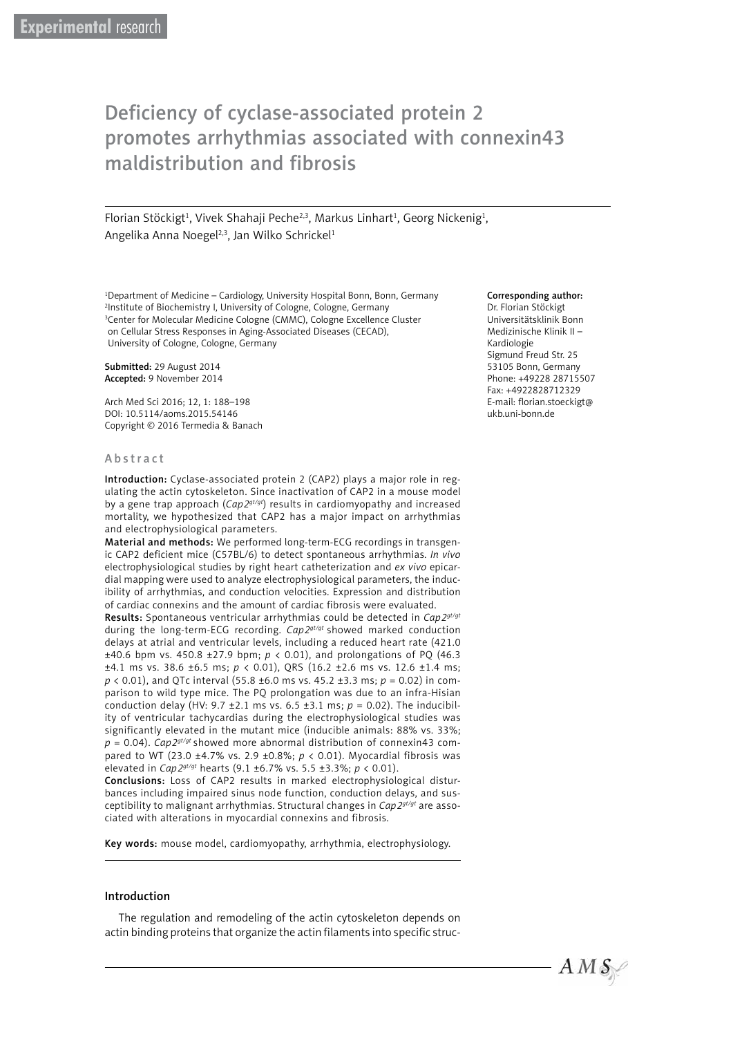# Deficiency of cyclase-associated protein 2 promotes arrhythmias associated with connexin43 maldistribution and fibrosis

Florian Stöckigt<sup>1</sup>, Vivek Shahaji Peche<sup>2,3</sup>, Markus Linhart<sup>1</sup>, Georg Nickenig<sup>1</sup>, Angelika Anna Noegel<sup>2,3</sup>, Jan Wilko Schrickel<sup>1</sup>

1 Department of Medicine – Cardiology, University Hospital Bonn, Bonn, Germany 2 Institute of Biochemistry I, University of Cologne, Cologne, Germany <sup>3</sup>Center for Molecular Medicine Cologne (CMMC), Cologne Excellence Cluster on Cellular Stress Responses in Aging-Associated Diseases (CECAD), University of Cologne, Cologne, Germany

Submitted: 29 August 2014 Accepted: 9 November 2014

Arch Med Sci 2016; 12, 1: 188–198 DOI: 10.5114/aoms.2015.54146 Copyright © 2016 Termedia & Banach

#### Abstract

Introduction: Cyclase-associated protein 2 (CAP2) plays a major role in regulating the actin cytoskeleton. Since inactivation of CAP2 in a mouse model by a gene trap approach (*Cap2gt/gt*) results in cardiomyopathy and increased mortality, we hypothesized that CAP2 has a major impact on arrhythmias and electrophysiological parameters.

Material and methods: We performed long-term-ECG recordings in transgenic CAP2 deficient mice (C57BL/6) to detect spontaneous arrhythmias. *In vivo* electrophysiological studies by right heart catheterization and *ex vivo* epicardial mapping were used to analyze electrophysiological parameters, the inducibility of arrhythmias, and conduction velocities. Expression and distribution of cardiac connexins and the amount of cardiac fibrosis were evaluated.

Results: Spontaneous ventricular arrhythmias could be detected in *Cap2gt/gt* during the long-term-ECG recording. *Cap2gt/gt* showed marked conduction delays at atrial and ventricular levels, including a reduced heart rate (421.0 ±40.6 bpm vs. 450.8 ±27.9 bpm; *p* < 0.01), and prolongations of PQ (46.3 ±4.1 ms vs. 38.6 ±6.5 ms; *p* < 0.01), QRS (16.2 ±2.6 ms vs. 12.6 ±1.4 ms; *p* < 0.01), and QTc interval (55.8 ±6.0 ms vs. 45.2 ±3.3 ms; *p* = 0.02) in comparison to wild type mice. The PQ prolongation was due to an infra-Hisian conduction delay (HV:  $9.7 \pm 2.1$  ms vs.  $6.5 \pm 3.1$  ms;  $p = 0.02$ ). The inducibility of ventricular tachycardias during the electrophysiological studies was significantly elevated in the mutant mice (inducible animals: 88% vs. 33%;  $p = 0.04$ ). *Cap2<sup>gt/gt</sup>* showed more abnormal distribution of connexin43 compared to WT (23.0 ±4.7% vs. 2.9 ±0.8%; *p* < 0.01). Myocardial fibrosis was elevated in *Cap2gt/gt* hearts (9.1 ±6.7% vs. 5.5 ±3.3%; *p* < 0.01).

Conclusions: Loss of CAP2 results in marked electrophysiological disturbances including impaired sinus node function, conduction delays, and susceptibility to malignant arrhythmias. Structural changes in *Cap2gt/gt* are associated with alterations in myocardial connexins and fibrosis.

Key words: mouse model, cardiomyopathy, arrhythmia, electrophysiology.

#### Introduction

The regulation and remodeling of the actin cytoskeleton depends on actin binding proteins that organize the actin filaments into specific struc-

#### Corresponding author:

Dr. Florian Stöckigt Universitätsklinik Bonn Medizinische Klinik II – Kardiologie Sigmund Freud Str. 25 53105 Bonn, Germany Phone: +49228 28715507 Fax: +4922828712329 E-mail: florian.stoeckigt@ ukb.uni-bonn.de

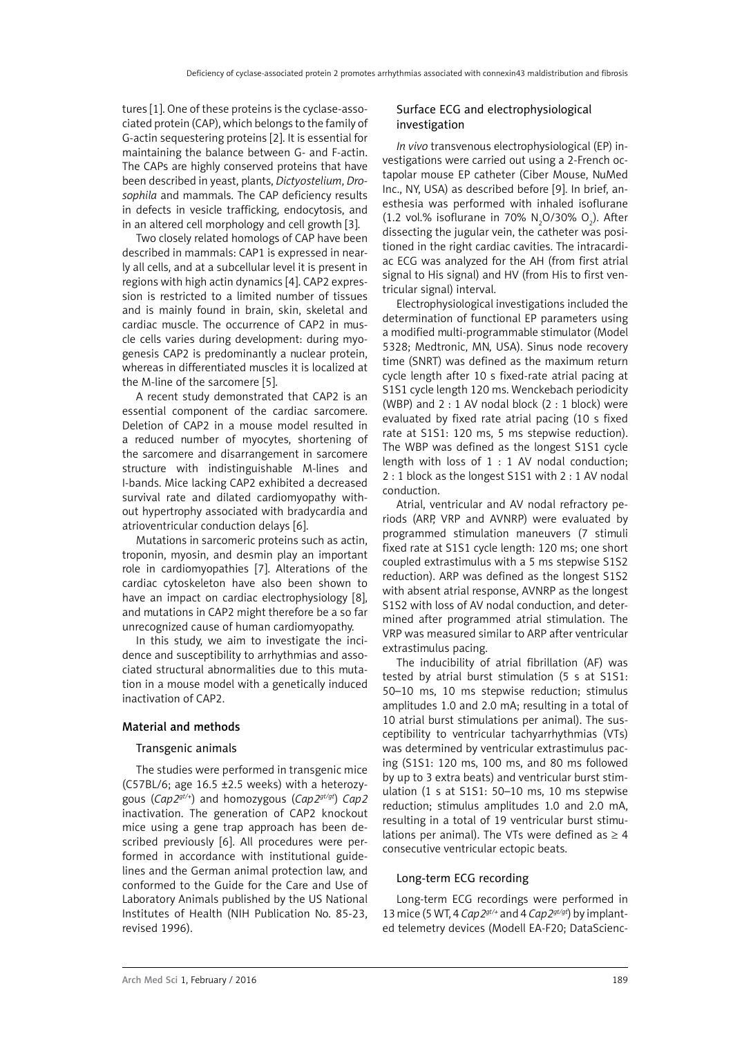tures [1]. One of these proteins is the cyclase-associated protein (CAP), which belongs to the family of G-actin sequestering proteins [2]. It is essential for maintaining the balance between G- and F-actin. The CAPs are highly conserved proteins that have been described in yeast, plants, *Dictyostelium*, *Drosophila* and mammals. The CAP deficiency results in defects in vesicle trafficking, endocytosis, and in an altered cell morphology and cell growth [3].

Two closely related homologs of CAP have been described in mammals: CAP1 is expressed in nearly all cells, and at a subcellular level it is present in regions with high actin dynamics [4]. CAP2 expression is restricted to a limited number of tissues and is mainly found in brain, skin, skeletal and cardiac muscle. The occurrence of CAP2 in muscle cells varies during development: during myogenesis CAP2 is predominantly a nuclear protein, whereas in differentiated muscles it is localized at the M-line of the sarcomere [5].

A recent study demonstrated that CAP2 is an essential component of the cardiac sarcomere. Deletion of CAP2 in a mouse model resulted in a reduced number of myocytes, shortening of the sarcomere and disarrangement in sarcomere structure with indistinguishable M-lines and I-bands. Mice lacking CAP2 exhibited a decreased survival rate and dilated cardiomyopathy without hypertrophy associated with bradycardia and atrioventricular conduction delays [6].

Mutations in sarcomeric proteins such as actin, troponin, myosin, and desmin play an important role in cardiomyopathies [7]. Alterations of the cardiac cytoskeleton have also been shown to have an impact on cardiac electrophysiology [8], and mutations in CAP2 might therefore be a so far unrecognized cause of human cardiomyopathy.

In this study, we aim to investigate the incidence and susceptibility to arrhythmias and associated structural abnormalities due to this mutation in a mouse model with a genetically induced inactivation of CAP2.

## Material and methods

#### Transgenic animals

The studies were performed in transgenic mice (C57BL/6; age 16.5 ±2.5 weeks) with a heterozygous (*Cap2gt/+*) and homozygous (*Cap2gt/gt*) *Cap2* inactivation. The generation of CAP2 knockout mice using a gene trap approach has been described previously [6]. All procedures were performed in accordance with institutional guidelines and the German animal protection law, and conformed to the Guide for the Care and Use of Laboratory Animals published by the US National Institutes of Health (NIH Publication No. 85-23, revised 1996).

## Surface ECG and electrophysiological investigation

*In vivo* transvenous electrophysiological (EP) investigations were carried out using a 2-French octapolar mouse EP catheter (Ciber Mouse, NuMed Inc., NY, USA) as described before [9]. In brief, anesthesia was performed with inhaled isoflurane  $(1.2 \text{ vol.}\% \text{ isoflurane in } 70\% \text{ N}_2\text{O}/30\% \text{ O}_2).$  After dissecting the jugular vein, the catheter was positioned in the right cardiac cavities. The intracardiac ECG was analyzed for the AH (from first atrial signal to His signal) and HV (from His to first ventricular signal) interval.

Electrophysiological investigations included the determination of functional EP parameters using a modified multi-programmable stimulator (Model 5328; Medtronic, MN, USA). Sinus node recovery time (SNRT) was defined as the maximum return cycle length after 10 s fixed-rate atrial pacing at S1S1 cycle length 120 ms. Wenckebach periodicity (WBP) and  $2:1$  AV nodal block  $(2:1$  block) were evaluated by fixed rate atrial pacing (10 s fixed rate at S1S1: 120 ms, 5 ms stepwise reduction). The WBP was defined as the longest S1S1 cycle length with loss of  $1:1$  AV nodal conduction; 2 : 1 block as the longest S1S1 with 2 : 1 AV nodal conduction.

Atrial, ventricular and AV nodal refractory periods (ARP, VRP and AVNRP) were evaluated by programmed stimulation maneuvers (7 stimuli fixed rate at S1S1 cycle length: 120 ms; one short coupled extrastimulus with a 5 ms stepwise S1S2 reduction). ARP was defined as the longest S1S2 with absent atrial response, AVNRP as the longest S1S2 with loss of AV nodal conduction, and determined after programmed atrial stimulation. The VRP was measured similar to ARP after ventricular extrastimulus pacing.

The inducibility of atrial fibrillation (AF) was tested by atrial burst stimulation (5 s at S1S1: 50–10 ms, 10 ms stepwise reduction; stimulus amplitudes 1.0 and 2.0 mA; resulting in a total of 10 atrial burst stimulations per animal). The susceptibility to ventricular tachyarrhythmias (VTs) was determined by ventricular extrastimulus pacing (S1S1: 120 ms, 100 ms, and 80 ms followed by up to 3 extra beats) and ventricular burst stimulation (1 s at S1S1: 50–10 ms, 10 ms stepwise reduction; stimulus amplitudes 1.0 and 2.0 mA, resulting in a total of 19 ventricular burst stimulations per animal). The VTs were defined as  $\geq 4$ consecutive ventricular ectopic beats.

#### Long-term ECG recording

Long-term ECG recordings were performed in 13 mice (5 WT, 4 *Cap2gt/+* and 4 *Cap2gt/gt*) by implanted telemetry devices (Modell EA-F20; DataScienc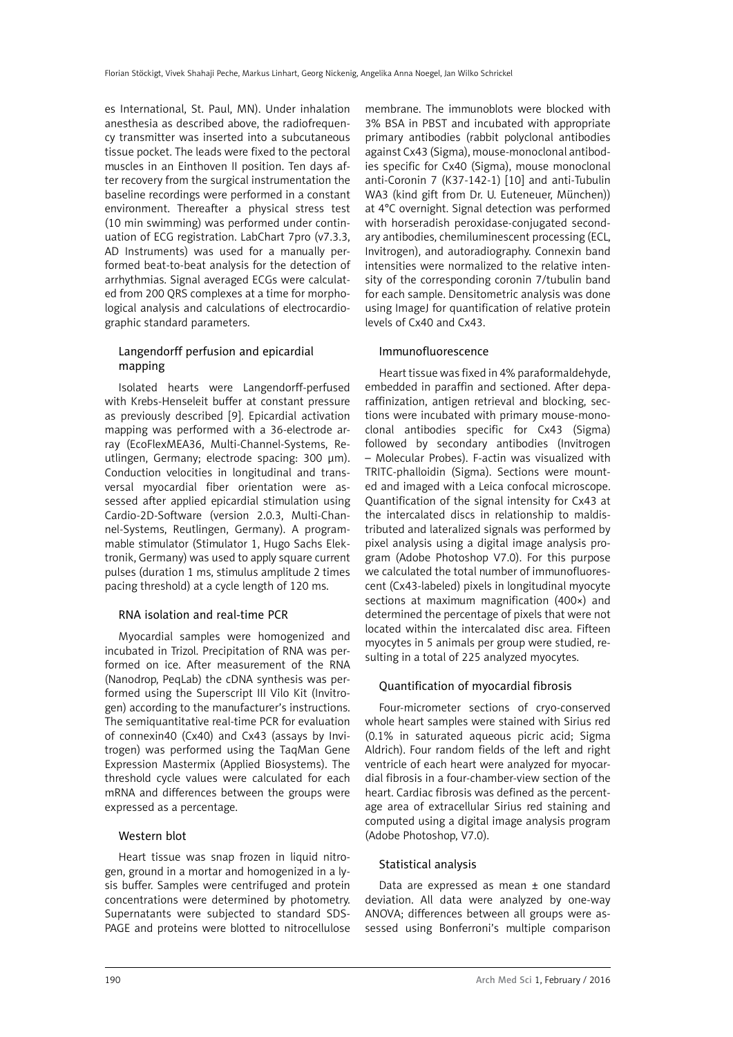es International, St. Paul, MN). Under inhalation anesthesia as described above, the radiofrequency transmitter was inserted into a subcutaneous tissue pocket. The leads were fixed to the pectoral muscles in an Einthoven II position. Ten days after recovery from the surgical instrumentation the baseline recordings were performed in a constant environment. Thereafter a physical stress test (10 min swimming) was performed under continuation of ECG registration. LabChart 7pro (v7.3.3, AD Instruments) was used for a manually performed beat-to-beat analysis for the detection of arrhythmias. Signal averaged ECGs were calculated from 200 QRS complexes at a time for morphological analysis and calculations of electrocardiographic standard parameters.

# Langendorff perfusion and epicardial mapping

Isolated hearts were Langendorff-perfused with Krebs-Henseleit buffer at constant pressure as previously described [9]. Epicardial activation mapping was performed with a 36-electrode array (EcoFlexMEA36, Multi-Channel-Systems, Reutlingen, Germany; electrode spacing: 300 µm). Conduction velocities in longitudinal and transversal myocardial fiber orientation were assessed after applied epicardial stimulation using Cardio-2D-Software (version 2.0.3, Multi-Channel-Systems, Reutlingen, Germany). A programmable stimulator (Stimulator 1, Hugo Sachs Elektronik, Germany) was used to apply square current pulses (duration 1 ms, stimulus amplitude 2 times pacing threshold) at a cycle length of 120 ms.

## RNA isolation and real-time PCR

Myocardial samples were homogenized and incubated in Trizol. Precipitation of RNA was performed on ice. After measurement of the RNA (Nanodrop, PeqLab) the cDNA synthesis was performed using the Superscript III Vilo Kit (Invitrogen) according to the manufacturer's instructions. The semiquantitative real-time PCR for evaluation of connexin40 (Cx40) and Cx43 (assays by Invitrogen) was performed using the TaqMan Gene Expression Mastermix (Applied Biosystems). The threshold cycle values were calculated for each mRNA and differences between the groups were [expressed](http://dict.leo.org/ende?lp=ende&p=DOKJAA&search=expressed&trestr=0x8004) [as](http://dict.leo.org/ende?lp=ende&p=DOKJAA&search=as&trestr=0x8004) [a](http://dict.leo.org/ende?lp=ende&p=DOKJAA&search=a&trestr=0x8004) [percentage](http://dict.leo.org/ende?lp=ende&p=DOKJAA&search=percentage&trestr=0x8004).

## Western blot

Heart tissue was snap frozen in liquid nitrogen, ground in a mortar and homogenized in a lysis buffer. Samples were centrifuged and protein concentrations were determined by photometry. Supernatants were subjected to standard SDS-PAGE and proteins were blotted to nitrocellulose membrane. The immunoblots were blocked with 3% BSA in PBST and incubated with appropriate primary antibodies (rabbit polyclonal antibodies against Cx43 (Sigma), mouse-monoclonal antibodies specific for Cx40 (Sigma), mouse monoclonal anti-Coronin 7 (K37-142-1) [10] and anti-Tubulin WA3 (kind gift from Dr. U. Euteneuer, München)) at 4°C overnight. Signal detection was performed with horseradish peroxidase-conjugated secondary antibodies, chemiluminescent processing (ECL, Invitrogen), and autoradiography. Connexin band intensities were normalized to the relative intensity of the corresponding coronin 7/tubulin band for each sample. Densitometric analysis was done using ImageJ for quantification of relative protein levels of Cx40 and Cx43.

### Immunofluorescence

Heart tissue was fixed in 4% paraformaldehyde, embedded in paraffin and sectioned. After deparaffinization, antigen retrieval and blocking, sections were incubated with primary mouse-monoclonal antibodies specific for Cx43 (Sigma) followed by secondary antibodies (Invitrogen – Molecular Probes). F-actin was visualized with TRITC-phalloidin (Sigma). Sections were mounted and imaged with a Leica confocal microscope. Quantification of the signal intensity for Cx43 at the intercalated discs in relationship to maldistributed and lateralized signals was performed by pixel analysis using a digital image analysis program (Adobe Photoshop V7.0). For this purpose we calculated the total number of immunofluorescent (Cx43-labeled) pixels in longitudinal myocyte sections at maximum magnification (400×) and determined the percentage of pixels that were not located within the intercalated disc area. Fifteen myocytes in 5 animals per group were studied, resulting in a total of 225 analyzed myocytes.

## Quantification of myocardial fibrosis

Four-micrometer sections of cryo-conserved whole heart samples were stained with Sirius red (0.1% in saturated aqueous picric acid; Sigma Aldrich). Four random fields of the left and right ventricle of each heart were analyzed for myocardial fibrosis in a four-chamber-view section of the heart. Cardiac fibrosis was defined as the percentage area of extracellular Sirius red staining and computed using a digital image analysis program (Adobe Photoshop, V7.0).

## Statistical analysis

Data are expressed as mean ± one standard deviation. All data were analyzed by one-way ANOVA; differences between all groups were assessed using Bonferroni's multiple comparison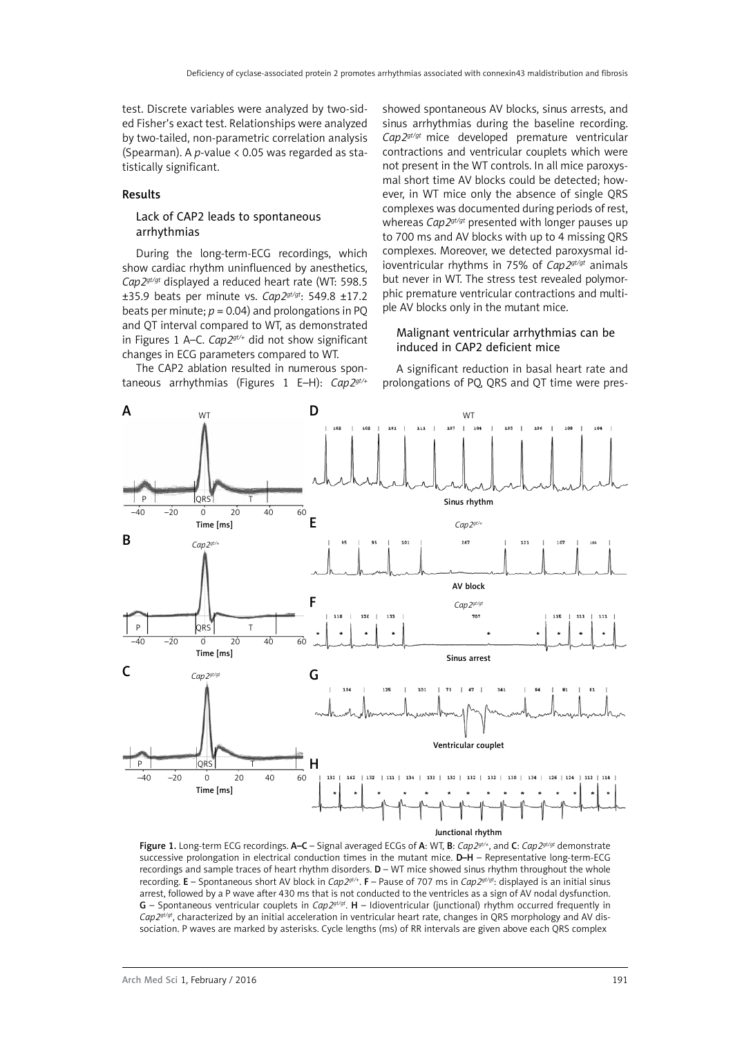test. Discrete variables were analyzed by two-sided Fisher's exact test. Relationships were analyzed by two-tailed, non-parametric correlation analysis (Spearman). A *p*-value < 0.05 was regarded as statistically significant.

### Results

### Lack of CAP2 leads to spontaneous arrhythmias

During the long-term-ECG recordings, which show cardiac rhythm uninfluenced by anesthetics, *Cap2gt/gt* displayed a reduced heart rate (WT: 598.5 ±35.9 beats per minute vs. *Cap2gt/gt*: 549.8 ±17.2 beats per minute;  $p = 0.04$ ) and prolongations in PQ and QT interval compared to WT, as demonstrated in Figures 1 A–C. *Cap2gt/+* did not show significant changes in ECG parameters compared to WT. The CAP2 ablation resulted in numerous spon-

taneous arrhythmias (Figures 1 E–H): *Cap2gt/+*

sinus arrhythmias during the baseline recording. *Cap2gt/gt* mice developed premature ventricular contractions and ventricular couplets which were not present in the WT controls. In all mice paroxysmal short time AV blocks could be detected; however, in WT mice only the absence of single QRS complexes was documented during periods of rest, whereas *Cap2gt/gt* presented with longer pauses up to 700 ms and AV blocks with up to 4 missing QRS complexes. Moreover, we detected paroxysmal idioventricular rhythms in 75% of *Cap2gt/gt* animals but never in WT. The stress test revealed polymorphic premature ventricular contractions and multiple AV blocks only in the mutant mice.

showed spontaneous AV blocks, sinus arrests, and

## Malignant ventricular arrhythmias can be induced in CAP2 deficient mice

A significant reduction in basal heart rate and prolongations of PQ, QRS and QT time were pres-



Figure 1. Long-term ECG recordings. A–C – Signal averaged ECGs of A: WT, B: *Cap2gt/+*, and C: *Cap2gt/gt* demonstrate successive prolongation in electrical conduction times in the mutant mice. D–H – Representative long-term-ECG recordings and sample traces of heart rhythm disorders. D – WT mice showed sinus rhythm throughout the whole recording. E – Spontaneous short AV block in *Cap2gt/+*. F – Pause of 707 ms in *Cap2gt/gt*: displayed is an initial sinus arrest, followed by a P wave after 430 ms that is not conducted to the ventricles as a sign of AV nodal dysfunction. G – Spontaneous ventricular couplets in *Cap2gt/gt*. H – Idioventricular (junctional) rhythm occurred frequently in *Cap2gt/gt*, characterized by an initial acceleration in ventricular heart rate, changes in QRS morphology and AV dissociation. P waves are marked by asterisks. Cycle lengths (ms) of RR intervals are given above each QRS complex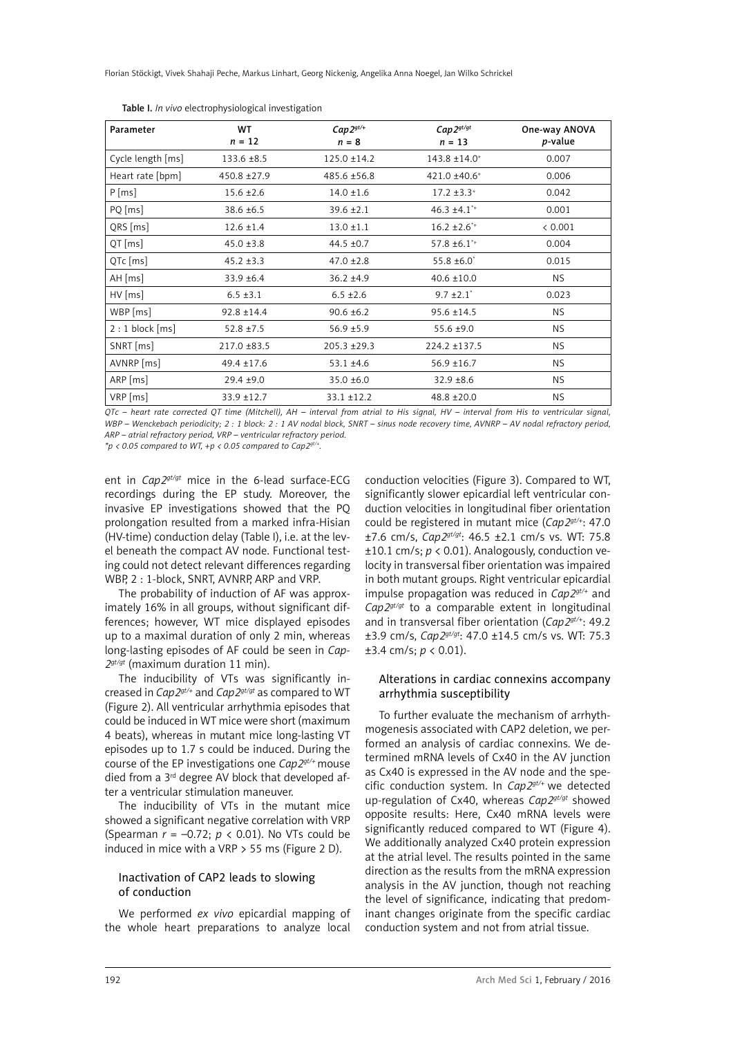Florian Stöckigt, Vivek Shahaji Peche, Markus Linhart, Georg Nickenig, Angelika Anna Noegel, Jan Wilko Schrickel

| Parameter         | WT<br>$n = 12$  | $Cap2^{gt/+}$<br>$n = 8$ | $Cap2^{gt/gt}$<br>$n = 13$   | One-way ANOVA<br>p-value |
|-------------------|-----------------|--------------------------|------------------------------|--------------------------|
| Cycle length [ms] | $133.6 \pm 8.5$ | $125.0 \pm 14.2$         | $143.8 \pm 14.0^+$           | 0.007                    |
| Heart rate [bpm]  | 450.8 ±27.9     | 485.6 ±56.8              | 421.0 ±40.6 <sup>+</sup>     | 0.006                    |
| $P$ [ms]          | $15.6 \pm 2.6$  | $14.0 \pm 1.6$           | $17.2 \pm 3.3^+$             | 0.042                    |
| PQ [ms]           | $38.6 \pm 6.5$  | $39.6 \pm 2.1$           | $46.3 \pm 4.1$ <sup>*+</sup> | 0.001                    |
| QRS [ms]          | $12.6 \pm 1.4$  | $13.0 \pm 1.1$           | $16.2 \pm 2.6$ <sup>*+</sup> | < 0.001                  |
| $QT$ [ms]         | $45.0 \pm 3.8$  | $44.5 \pm 0.7$           | $57.8 \pm 6.1$ <sup>*+</sup> | 0.004                    |
| QTc [ms]          | $45.2 \pm 3.3$  | $47.0 \pm 2.8$           | $55.8 \pm 6.0^{\circ}$       | 0.015                    |
| $AH$ [ms]         | $33.9 + 6.4$    | $36.2 \pm 4.9$           | $40.6 \pm 10.0$              | NS                       |
| $HV$ [ms]         | $6.5 \pm 3.1$   | $6.5 \pm 2.6$            | $9.7 \pm 2.1$                | 0.023                    |
| WBP [ms]          | $92.8 \pm 14.4$ | $90.6 \pm 6.2$           | $95.6 \pm 14.5$              | NS.                      |
| $2:1$ block [ms]  | $52.8 \pm 7.5$  | $56.9 \pm 5.9$           | $55.6 \pm 9.0$               | NS.                      |
| SNRT [ms]         | 217.0 ±83.5     | $205.3 \pm 29.3$         | $224.2 \pm 137.5$            | NS                       |
| AVNRP [ms]        | $49.4 \pm 17.6$ | $53.1 \pm 4.6$           | $56.9 \pm 16.7$              | NS                       |
| $ARP$ [ms]        | $29.4 \pm 9.0$  | $35.0 \pm 6.0$           | $32.9 \pm 8.6$               | NS.                      |
| VRP [ms]          | 33.9 ±12.7      | $33.1 \pm 12.2$          | $48.8 \pm 20.0$              | NS.                      |

Table I. *In vivo* electrophysiological investigation

*QTc – heart rate corrected QT time (Mitchell), AH – interval from atrial to His signal, HV – interval from His to ventricular signal, WBP – Wenckebach periodicity; 2 : 1 block: 2 : 1 AV nodal block, SNRT – sinus node recovery time, AVNRP – AV nodal refractory period, ARP – atrial refractory period, VRP – ventricular refractory period.*

*\*p < 0.05 compared to WT, +p < 0.05 compared to Cap2gt/+.*

ent in *Cap2gt/gt* mice in the 6-lead surface-ECG recordings during the EP study. Moreover, the invasive EP investigations showed that the PQ prolongation resulted from a marked infra-Hisian (HV-time) conduction delay (Table I), i.e. at the level beneath the compact AV node. Functional testing could not detect relevant differences regarding WBP, 2 : 1-block, SNRT, AVNRP, ARP and VRP.

The probability of induction of AF was approximately 16% in all groups, without significant differences; however, WT mice displayed episodes up to a maximal duration of only 2 min, whereas long-lasting episodes of AF could be seen in *Cap-2gt/gt* (maximum duration 11 min).

The inducibility of VTs was significantly increased in *Cap2gt/+* and *Cap2gt/gt* as compared to WT (Figure 2). All ventricular arrhythmia episodes that could be induced in WT mice were short (maximum 4 beats), whereas in mutant mice long-lasting VT episodes up to 1.7 s could be induced. During the course of the EP investigations one *Cap2gt/+* mouse died from a 3rd degree AV block that developed after a ventricular stimulation maneuver.

The inducibility of VTs in the mutant mice showed a significant negative correlation with VRP (Spearman *r* = –0.72; *p* < 0.01). No VTs could be induced in mice with a VRP > 55 ms (Figure 2 D).

## Inactivation of CAP2 leads to slowing of conduction

We performed *ex vivo* epicardial mapping of the whole heart preparations to analyze local

conduction velocities (Figure 3). Compared to WT, significantly slower epicardial left ventricular conduction velocities in longitudinal fiber orientation could be registered in mutant mice (*Cap2gt/+*: 47.0 ±7.6 cm/s, *Cap2gt/gt*: 46.5 ±2.1 cm/s vs. WT: 75.8 ±10.1 cm/s; *p* < 0.01). Analogously, conduction velocity in transversal fiber orientation was impaired in both mutant groups. Right ventricular epicardial impulse propagation was reduced in *Cap2gt/+* and *Cap2gt/gt* to a comparable extent in longitudinal and in transversal fiber orientation (*Cap2gt/+*: 49.2 ±3.9 cm/s, *Cap2gt/gt*: 47.0 ±14.5 cm/s vs. WT: 75.3 ±3.4 cm/s; *p* < 0.01).

## Alterations in cardiac connexins accompany arrhythmia susceptibility

To further evaluate the mechanism of arrhythmogenesis associated with CAP2 deletion, we performed an analysis of cardiac connexins. We determined mRNA levels of Cx40 in the AV junction as Cx40 is expressed in the AV node and the specific conduction system. In *Cap2gt/+* we detected up-regulation of Cx40, whereas *Cap2gt/gt* showed opposite results: Here, Cx40 mRNA levels were significantly reduced compared to WT (Figure 4). We additionally analyzed Cx40 protein expression at the atrial level. The results pointed in the same direction as the results from the mRNA expression analysis in the AV junction, though not reaching the level of significance, indicating that predominant changes originate from the specific cardiac conduction system and not from atrial tissue.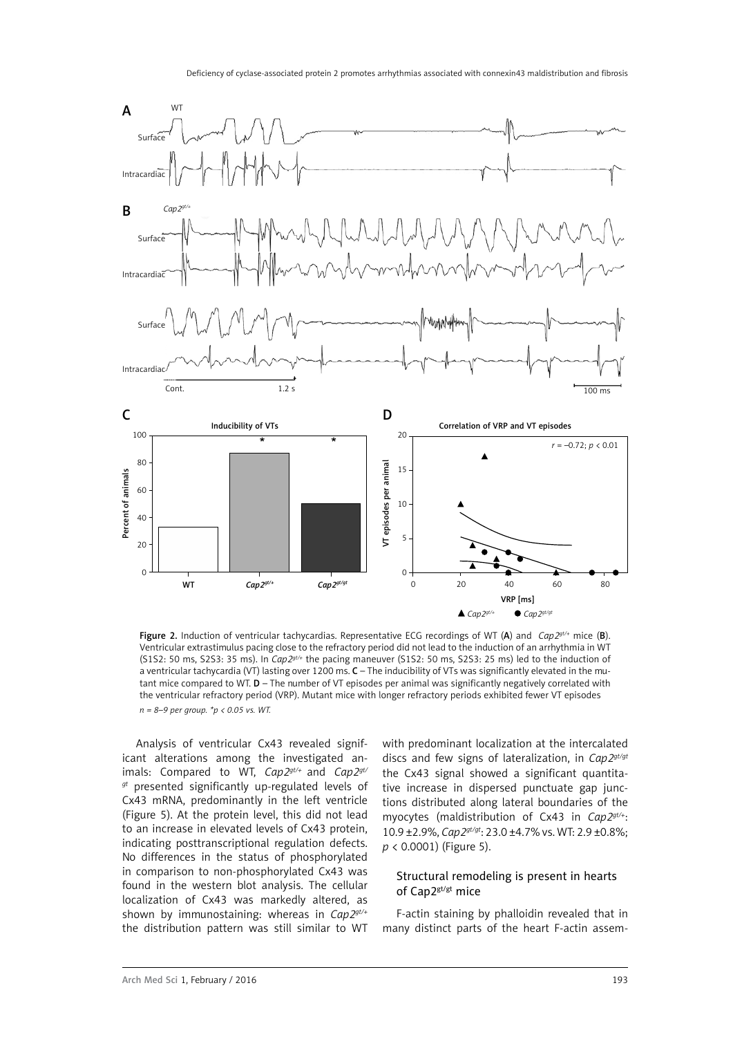

Figure 2. Induction of ventricular tachycardias. Representative ECG recordings of WT (A) and *Cap2gt/+* mice (B). Ventricular extrastimulus pacing close to the refractory period did not lead to the induction of an arrhythmia in WT (S1S2: 50 ms, S2S3: 35 ms). In *Cap2gt/+* the pacing maneuver (S1S2: 50 ms, S2S3: 25 ms) led to the induction of a ventricular tachycardia (VT) lasting over 1200 ms. C – The inducibility of VTs was significantly elevated in the mutant mice compared to WT. D – The number of VT episodes per animal was significantly negatively correlated with the ventricular refractory period (VRP). Mutant mice with longer refractory periods exhibited fewer VT episodes *n = 8–9 per group. \*p < 0.05 vs. WT.*

Analysis of ventricular Cx43 revealed significant alterations among the investigated animals: Compared to WT, *Cap2gt/+* and *Cap2gt/ gt* presented significantly up-regulated levels of Cx43 mRNA, predominantly in the left ventricle (Figure 5). At the protein level, this did not lead to an increase in elevated levels of Cx43 protein, indicating posttranscriptional regulation defects. No differences in the status of phosphorylated in comparison to non-phosphorylated Cx43 was found in the western blot analysis. The cellular localization of Cx43 was markedly altered, as shown by immunostaining: whereas in *Cap2gt/+* the distribution pattern was still similar to WT with predominant localization at the intercalated discs and few signs of lateralization, in *Cap2gt/gt* the Cx43 signal showed a significant quantitative increase in dispersed punctuate gap junctions distributed along lateral boundaries of the myocytes (maldistribution of Cx43 in *Cap2gt/+*: 10.9 ±2.9%, *Cap2gt/gt*: 23.0 ±4.7% vs. WT: 2.9 ±0.8%; *p* < 0.0001) (Figure 5).

### Structural remodeling is present in hearts of Cap2gt/gt mice

F-actin staining by phalloidin revealed that in many distinct parts of the heart F-actin assem-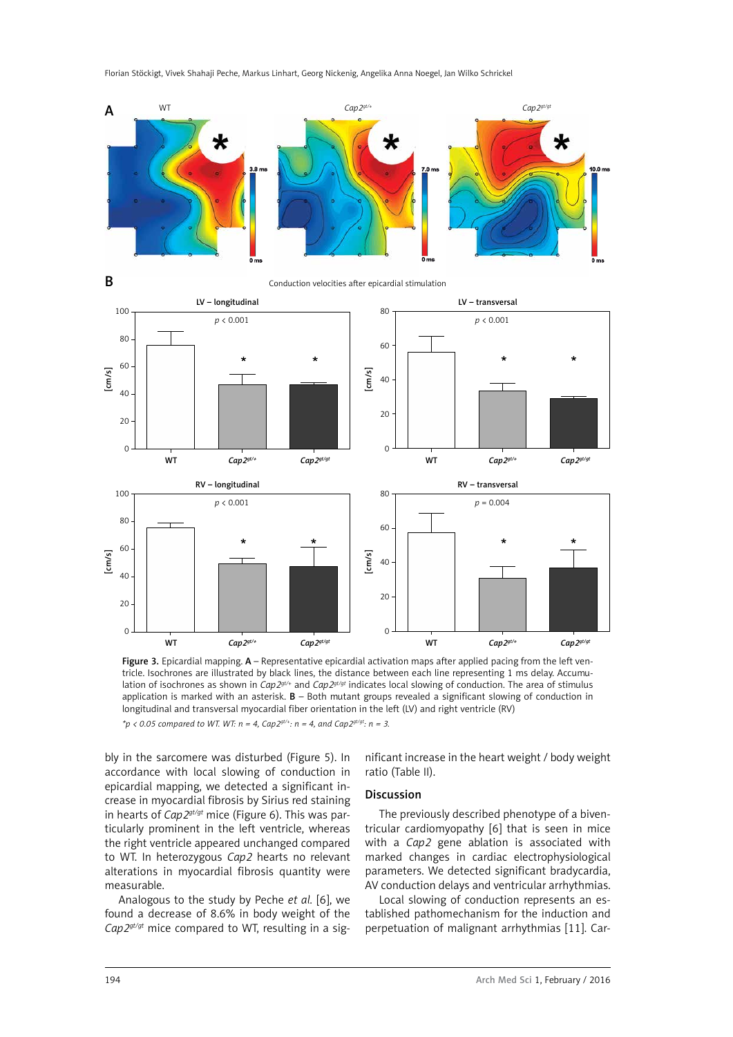



Conduction velocities after epicardial stimulation



Figure 3. Epicardial mapping. A – Representative epicardial activation maps after applied pacing from the left ventricle. Isochrones are illustrated by black lines, the distance between each line representing 1 ms delay. Accumulation of isochrones as shown in *Cap2gt/+* and *Cap2gt/gt* indicates local slowing of conduction. The area of stimulus application is marked with an asterisk.  $B -$  Both mutant groups revealed a significant slowing of conduction in longitudinal and transversal myocardial fiber orientation in the left (LV) and right ventricle (RV)

 $*p$  < 0.05 compared to WT. WT:  $n = 4$ , Cap2<sup>gt/+</sup>:  $n = 4$ , and Cap2<sup>gt/gt</sup>:  $n = 3$ .

bly in the sarcomere was disturbed (Figure 5). In accordance with local slowing of conduction in epicardial mapping, we detected a significant increase in myocardial fibrosis by Sirius red staining in hearts of *Cap2gt/gt* mice (Figure 6). This was particularly prominent in the left ventricle, whereas the right ventricle appeared unchanged compared to WT. In heterozygous *Cap2* hearts no relevant alterations in myocardial fibrosis quantity were measurable.

Analogous to the study by Peche *et al.* [6], we found a decrease of 8.6% in body weight of the *Cap2gt/gt* mice compared to WT, resulting in a significant increase in the heart weight / body weight ratio (Table II).

#### Discussion

The previously described phenotype of a biventricular cardiomyopathy [6] that is seen in mice with a *Cap2* gene ablation is associated with marked changes in cardiac electrophysiological parameters. We detected significant bradycardia, AV conduction delays and ventricular arrhythmias.

Local slowing of conduction represents an established pathomechanism for the induction and perpetuation of malignant arrhythmias [11]. Car-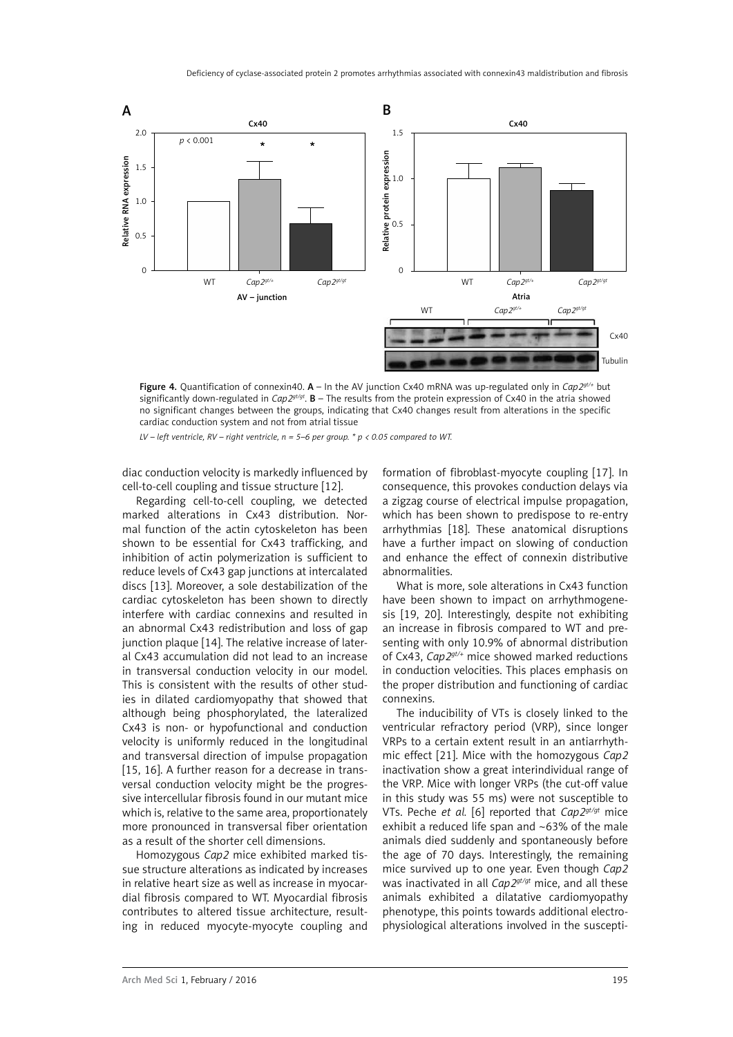

Figure 4. Quantification of connexin40. A – In the AV junction Cx40 mRNA was up-regulated only in *Cap2gt/+* but significantly down-regulated in *Cap2gt/gt*. B – The results from the protein expression of Cx40 in the atria showed no significant changes between the groups, indicating that Cx40 changes result from alterations in the specific cardiac conduction system and not from atrial tissue

*LV – left ventricle, RV – right ventricle, n = 5–6 per group. \* p < 0.05 compared to WT.*

diac conduction velocity is markedly influenced by cell-to-cell coupling and tissue structure [12].

Regarding cell-to-cell coupling, we detected marked alterations in Cx43 distribution. Normal function of the actin cytoskeleton has been shown to be essential for Cx43 trafficking, and inhibition of actin polymerization is sufficient to reduce levels of Cx43 gap junctions at intercalated discs [13]. Moreover, a sole destabilization of the cardiac cytoskeleton has been shown to directly interfere with cardiac connexins and resulted in an abnormal Cx43 redistribution and loss of gap junction plaque [14]. The relative increase of lateral Cx43 accumulation did not lead to an increase in transversal conduction velocity in our model. This is consistent with the results of other studies in dilated cardiomyopathy that showed that although being phosphorylated, the lateralized Cx43 is non- or hypofunctional and conduction velocity is uniformly reduced in the longitudinal and transversal direction of impulse propagation [15, 16]. A further reason for a decrease in transversal conduction velocity might be the progressive intercellular fibrosis found in our mutant mice which is, relative to the same area, proportionately more pronounced in transversal fiber orientation as a result of the shorter cell dimensions.

Homozygous *Cap2* mice exhibited marked tissue structure alterations as indicated by increases in relative heart size as well as increase in myocardial fibrosis compared to WT. Myocardial fibrosis contributes to altered tissue architecture, resulting in reduced myocyte-myocyte coupling and formation of fibroblast-myocyte coupling [17]. In consequence, this provokes conduction delays via a zigzag course of electrical impulse propagation, which has been shown to predispose to re-entry arrhythmias [18]. These anatomical disruptions have a further impact on slowing of conduction and enhance the effect of connexin distributive abnormalities.

What is more, sole alterations in Cx43 function have been shown to impact on arrhythmogenesis [19, 20]. Interestingly, despite not exhibiting an increase in fibrosis compared to WT and presenting with only 10.9% of abnormal distribution of Cx43, *Cap2gt/+* mice showed marked reductions in conduction velocities. This places emphasis on the proper distribution and functioning of cardiac connexins.

The inducibility of VTs is closely linked to the ventricular refractory period (VRP), since longer VRPs to a certain extent result in an antiarrhythmic effect [21]. Mice with the homozygous *Cap2* inactivation show a great interindividual range of the VRP. Mice with longer VRPs (the cut-off value in this study was 55 ms) were not susceptible to VTs. Peche *et al.* [6] reported that *Cap2gt/gt* mice exhibit a reduced life span and  $~63\%$  of the male animals died suddenly and spontaneously before the age of 70 days. Interestingly, the remaining mice survived up to one year. Even though *Cap2* was inactivated in all *Cap2gt/gt* mice, and all these animals exhibited a dilatative cardiomyopathy phenotype, this points towards additional electrophysiological alterations involved in the suscepti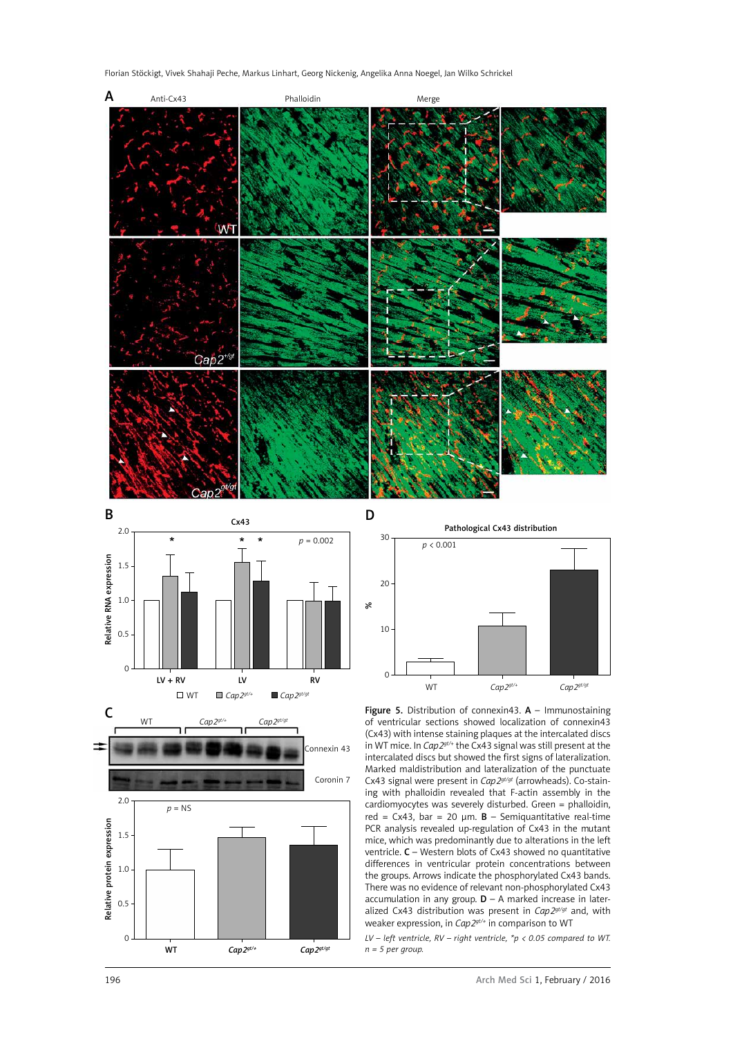Florian Stöckigt, Vivek Shahaji Peche, Markus Linhart, Georg Nickenig, Angelika Anna Noegel, Jan Wilko Schrickel











1968<br>
1968<br>
1968<br>
1968<br>
1968<br>
1968<br>
1970<br>
1970<br>
1970<br>
1970<br>
1970<br>
1970<br>
1989<br>
1989<br>
1989<br>
1989<br>
1989<br>
1989<br>
1989<br>
1989<br>
1989<br>
1989<br>
1989<br>
1989<br>
1989<br>
1989<br>
1989<br>
1989<br>
1989<br>
1989<br>
1989<br>
1989<br>
1989<br>
1989<br>
1989<br>
1989<br>
1989<br> Figure 5. Distribution of connexin43.  $A -$  Immunostaining of ventricular sections showed localization of connexin43 (Cx43) with intense staining plaques at the intercalated discs in WT mice. In *Cap2gt/+* the Cx43 signal was still present at the intercalated discs but showed the first signs of lateralization. Marked maldistribution and lateralization of the punctuate Cx43 signal were present in *Cap2gt/gt* (arrowheads). Co-staining with phalloidin revealed that F-actin assembly in the cardiomyocytes was severely disturbed. Green = phalloidin, red = Cx43, bar = 20  $\mu$ m. **B** – Semiquantitative real-time PCR analysis revealed up-regulation of Cx43 in the mutant mice, which was predominantly due to alterations in the left ventricle. C – Western blots of Cx43 showed no quantitative differences in ventricular protein concentrations between the groups. Arrows indicate the phosphorylated Cx43 bands. There was no evidence of relevant non-phosphorylated Cx43 accumulation in any group.  $D - A$  marked increase in lateralized Cx43 distribution was present in *Cap2gt/gt* and, with weaker expression, in *Cap2gt/+* in comparison to WT

*LV – left ventricle, RV – right ventricle, \*p < 0.05 compared to WT. n = 5 per group.*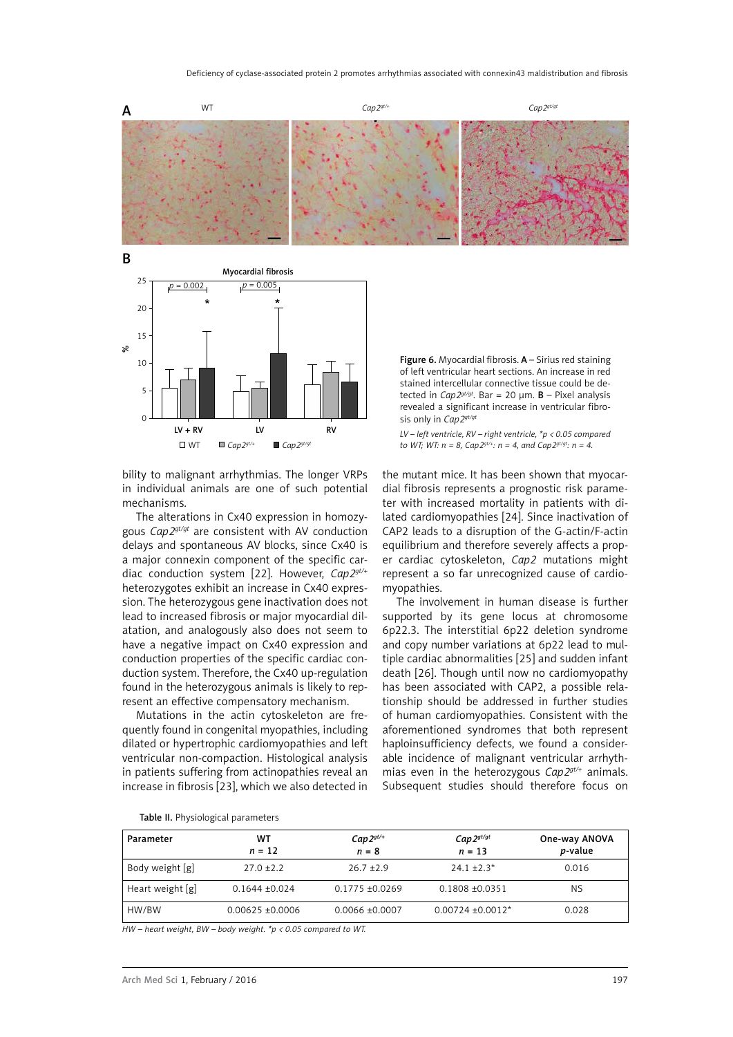



bility to malignant arrhythmias. The longer VRPs in individual animals are one of such potential mechanisms.

The alterations in Cx40 expression in homozygous *Cap2gt/gt* are consistent with AV conduction delays and spontaneous AV blocks, since Cx40 is a major connexin component of the specific cardiac conduction system [22]. However, *Cap2gt/+* heterozygotes exhibit an increase in Cx40 expression. The heterozygous gene inactivation does not lead to increased fibrosis or major myocardial dilatation, and analogously also does not seem to have a negative impact on Cx40 expression and conduction properties of the specific cardiac conduction system. Therefore, the Cx40 up-regulation found in the heterozygous animals is likely to represent an effective compensatory mechanism.

Mutations in the actin cytoskeleton are frequently found in congenital myopathies, including dilated or hypertrophic cardiomyopathies and left ventricular non-compaction. Histological analysis in patients suffering from actinopathies reveal an increase in fibrosis [23], which we also detected in

Figure 6. Myocardial fibrosis. A – Sirius red staining of left ventricular heart sections. An increase in red stained intercellular connective tissue could be detected in  $Cap2<sup>gt/gt</sup>$ . Bar = 20  $µm$ . **B** – Pixel analysis revealed a significant increase in ventricular fibrosis only in *Cap2<sup>gt/gt</sup>* 

*LV – left ventricle, RV – right ventricle, \*p < 0.05 compared to WT; WT:*  $n = 8$ ,  $Cap2^{gt/4}$ :  $n = 4$ , and  $Cap2^{gt/gt}$ :  $n = 4$ .

the mutant mice. It has been shown that myocardial fibrosis represents a prognostic risk parameter with increased mortality in patients with dilated cardiomyopathies [24]. Since inactivation of CAP2 leads to a disruption of the G-actin/F-actin equilibrium and therefore severely affects a proper cardiac cytoskeleton, *Cap2* mutations might represent a so far unrecognized cause of cardiomyopathies.

The involvement in human disease is further supported by its gene locus at chromosome 6p22.3. The interstitial 6p22 deletion syndrome and copy number variations at 6p22 lead to multiple cardiac abnormalities [25] and sudden infant death [26]. Though until now no cardiomyopathy has been associated with CAP2, a possible relationship should be addressed in further studies of human cardiomyopathies. Consistent with the aforementioned syndromes that both represent haploinsufficiency defects, we found a considerable incidence of malignant ventricular arrhythmias even in the heterozygous *Cap2gt/+* animals. Subsequent studies should therefore focus on

| Parameter          | WT<br>$n = 12$     | $Cap2gt/+$<br>$n = 8$ | $Cap2^{gt/gt}$<br>$n = 13$ | One-way ANOVA<br><i>p</i> -value |
|--------------------|--------------------|-----------------------|----------------------------|----------------------------------|
| Body weight [g]    | $27.0 + 2.2$       | $26.7 + 2.9$          | $24.1 + 2.3*$              | 0.016                            |
| Heart weight $[g]$ | $0.1644 + 0.024$   | $0.1775 + 0.0269$     | $0.1808 + 0.0351$          | ΝS                               |
| HW/BW              | $0.00625 + 0.0006$ | $0.0066 \pm 0.0007$   | $0.00724 + 0.0012*$        | 0.028                            |

Table II. Physiological parameters

*HW – heart weight, BW – body weight. \*p < 0.05 compared to WT.*